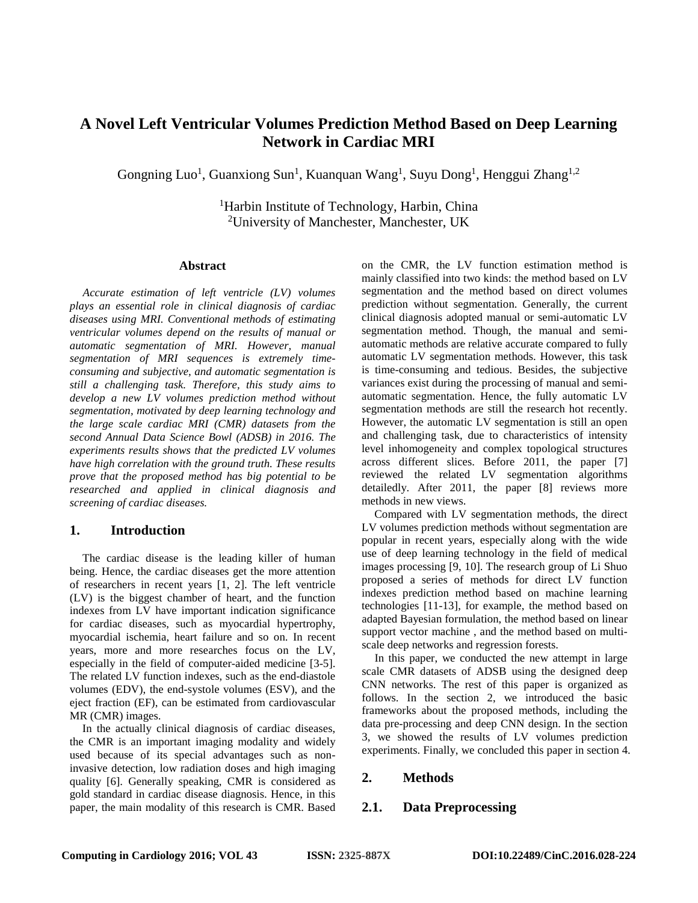# **A Novel Left Ventricular Volumes Prediction Method Based on Deep Learning Network in Cardiac MRI**

Gongning Luo<sup>1</sup>, Guanxiong Sun<sup>1</sup>, Kuanquan Wang<sup>1</sup>, Suyu Dong<sup>1</sup>, Henggui Zhang<sup>1,2</sup>

<sup>1</sup>Harbin Institute of Technology, Harbin, China <sup>2</sup>University of Manchester, Manchester, UK

#### **Abstract**

*Accurate estimation of left ventricle (LV) volumes plays an essential role in clinical diagnosis of cardiac diseases using MRI. Conventional methods of estimating ventricular volumes depend on the results of manual or automatic segmentation of MRI. However, manual segmentation of MRI sequences is extremely timeconsuming and subjective, and automatic segmentation is still a challenging task. Therefore, this study aims to develop a new LV volumes prediction method without segmentation, motivated by deep learning technology and the large scale cardiac MRI (CMR) datasets from the second Annual Data Science Bowl (ADSB) in 2016. The experiments results shows that the predicted LV volumes have high correlation with the ground truth. These results prove that the proposed method has big potential to be researched and applied in clinical diagnosis and screening of cardiac diseases.*

### **1. Introduction**

The cardiac disease is the leading killer of human being. Hence, the cardiac diseases get the more attention of researchers in recent years [\[1,](#page-3-0) [2\]](#page-3-1). The left ventricle (LV) is the biggest chamber of heart, and the function indexes from LV have important indication significance for cardiac diseases, such as myocardial hypertrophy, myocardial ischemia, heart failure and so on. In recent years, more and more researches focus on the LV, especially in the field of computer-aided medicine [\[3-5\]](#page-3-2). The related LV function indexes, such as the end-diastole volumes (EDV), the end-systole volumes (ESV), and the eject fraction (EF), can be estimated from cardiovascular MR (CMR) images.

In the actually clinical diagnosis of cardiac diseases, the CMR is an important imaging modality and widely used because of its special advantages such as noninvasive detection, low radiation doses and high imaging quality [\[6\]](#page-3-3). Generally speaking, CMR is considered as gold standard in cardiac disease diagnosis. Hence, in this paper, the main modality of this research is CMR. Based

on the CMR, the LV function estimation method is mainly classified into two kinds: the method based on LV segmentation and the method based on direct volumes prediction without segmentation. Generally, the current clinical diagnosis adopted manual or semi-automatic LV segmentation method. Though, the manual and semiautomatic methods are relative accurate compared to fully automatic LV segmentation methods. However, this task is time-consuming and tedious. Besides, the subjective variances exist during the processing of manual and semiautomatic segmentation. Hence, the fully automatic LV segmentation methods are still the research hot recently. However, the automatic LV segmentation is still an open and challenging task, due to characteristics of intensity level inhomogeneity and complex topological structures across different slices. Before 2011, the paper [\[7\]](#page-3-4) reviewed the related LV segmentation algorithms detailedly. After 2011, the paper [\[8\]](#page-3-5) reviews more methods in new views.

Compared with LV segmentation methods, the direct LV volumes prediction methods without segmentation are popular in recent years, especially along with the wide use of deep learning technology in the field of medical images processing [\[9,](#page-3-6) [10\]](#page-3-7). The research group of Li Shuo proposed a series of methods for direct LV function indexes prediction method based on machine learning technologies [\[11-13\]](#page-3-8), for example, the method based on adapted Bayesian formulation, the method based on linear support vector machine , and the method based on multiscale deep networks and regression forests.

In this paper, we conducted the new attempt in large scale CMR datasets of ADSB using the designed deep CNN networks. The rest of this paper is organized as follows. In the section 2, we introduced the basic frameworks about the proposed methods, including the data pre-processing and deep CNN design. In the section 3, we showed the results of LV volumes prediction experiments. Finally, we concluded this paper in section 4.

## **2. Methods**

### **2.1. Data Preprocessing**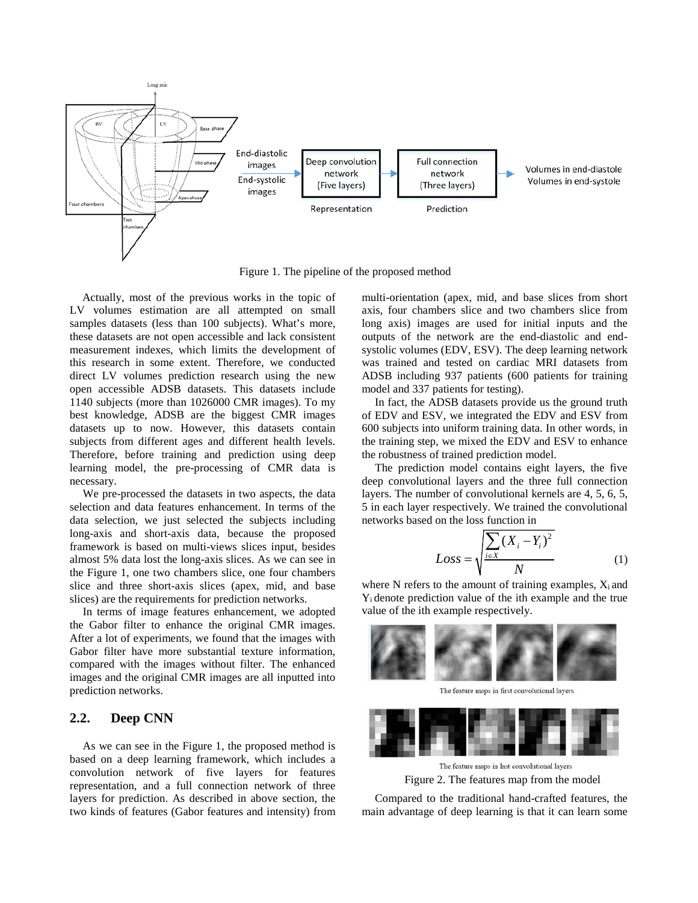

Figure 1. The pipeline of the proposed method

Actually, most of the previous works in the topic of LV volumes estimation are all attempted on small samples datasets (less than 100 subjects). What's more, these datasets are not open accessible and lack consistent measurement indexes, which limits the development of this research in some extent. Therefore, we conducted direct LV volumes prediction research using the new open accessible ADSB datasets. This datasets include 1140 subjects (more than 1026000 CMR images). To my best knowledge, ADSB are the biggest CMR images datasets up to now. However, this datasets contain subjects from different ages and different health levels. Therefore, before training and prediction using deep learning model, the pre-processing of CMR data is necessary.

We pre-processed the datasets in two aspects, the data selection and data features enhancement. In terms of the data selection, we just selected the subjects including long-axis and short-axis data, because the proposed framework is based on multi-views slices input, besides almost 5% data lost the long-axis slices. As we can see in the Figure 1, one two chambers slice, one four chambers slice and three short-axis slices (apex, mid, and base slices) are the requirements for prediction networks.

In terms of image features enhancement, we adopted the Gabor filter to enhance the original CMR images. After a lot of experiments, we found that the images with Gabor filter have more substantial texture information, compared with the images without filter. The enhanced images and the original CMR images are all inputted into prediction networks.

### **2.2. Deep CNN**

As we can see in the Figure 1, the proposed method is based on a deep learning framework, which includes a convolution network of five layers for features representation, and a full connection network of three layers for prediction. As described in above section, the two kinds of features (Gabor features and intensity) from

multi-orientation (apex, mid, and base slices from short axis, four chambers slice and two chambers slice from long axis) images are used for initial inputs and the outputs of the network are the end-diastolic and endsystolic volumes (EDV, ESV). The deep learning network was trained and tested on cardiac MRI datasets from ADSB including 937 patients (600 patients for training model and 337 patients for testing).

In fact, the ADSB datasets provide us the ground truth of EDV and ESV, we integrated the EDV and ESV from 600 subjects into uniform training data. In other words, in the training step, we mixed the EDV and ESV to enhance the robustness of trained prediction model.

The prediction model contains eight layers, the five deep convolutional layers and the three full connection layers. The number of convolutional kernels are 4, 5, 6, 5, 5 in each layer respectively. We trained the convolutional networks based on the loss function in

$$
Loss = \sqrt{\frac{\sum_{i \in X} (X_i - Y_i)^2}{N}}
$$
 (1)

where N refers to the amount of training examples,  $X_i$  and Yi denote prediction value of the ith example and the true value of the ith example respectively.



The feature maps in first convolutional layers



Figure 2. The features map from the model

Compared to the traditional hand-crafted features, the main advantage of deep learning is that it can learn some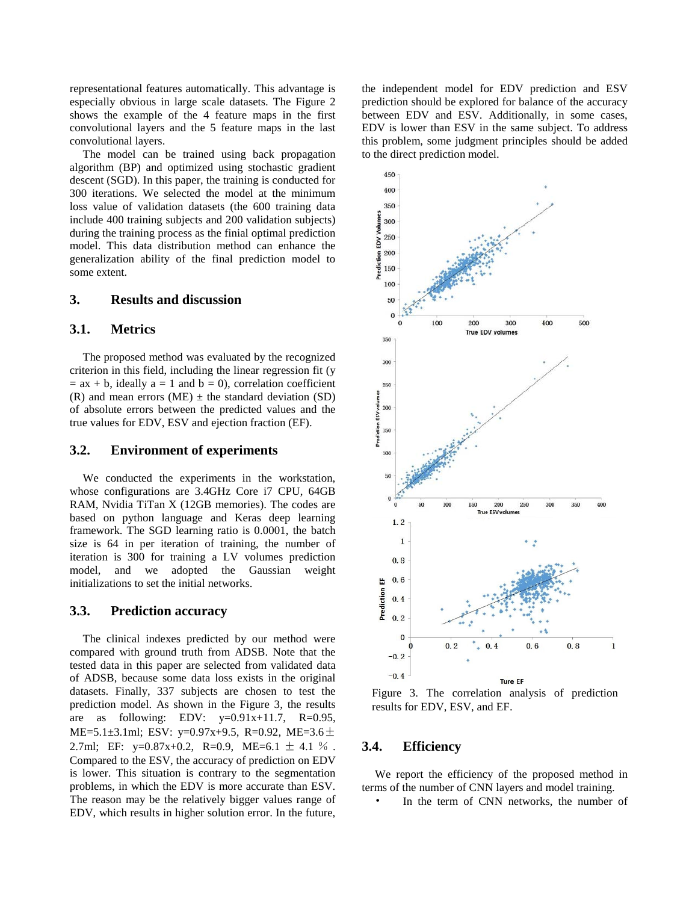representational features automatically. This advantage is especially obvious in large scale datasets. The Figure 2 shows the example of the 4 feature maps in the first convolutional layers and the 5 feature maps in the last convolutional layers.

The model can be trained using back propagation algorithm (BP) and optimized using stochastic gradient descent (SGD). In this paper, the training is conducted for 300 iterations. We selected the model at the minimum loss value of validation datasets (the 600 training data include 400 training subjects and 200 validation subjects) during the training process as the finial optimal prediction model. This data distribution method can enhance the generalization ability of the final prediction model to some extent.

### **3. Results and discussion**

#### **3.1. Metrics**

The proposed method was evaluated by the recognized criterion in this field, including the linear regression fit (y  $=$  ax + b, ideally a = 1 and b = 0), correlation coefficient (R) and mean errors (ME)  $\pm$  the standard deviation (SD) of absolute errors between the predicted values and the true values for EDV, ESV and ejection fraction (EF).

### **3.2. Environment of experiments**

We conducted the experiments in the workstation, whose configurations are 3.4GHz Core i7 CPU, 64GB RAM, Nvidia TiTan X (12GB memories). The codes are based on python language and Keras deep learning framework. The SGD learning ratio is 0.0001, the batch size is 64 in per iteration of training, the number of iteration is 300 for training a LV volumes prediction model, and we adopted the Gaussian weight initializations to set the initial networks.

### **3.3. Prediction accuracy**

The clinical indexes predicted by our method were compared with ground truth from ADSB. Note that the tested data in this paper are selected from validated data of ADSB, because some data loss exists in the original datasets. Finally, 337 subjects are chosen to test the prediction model. As shown in the Figure 3, the results are as following: EDV:  $y=0.91x+11.7$ , R=0.95, ME=5.1 $\pm$ 3.1ml; ESV: y=0.97x+9.5, R=0.92, ME=3.6 $\pm$ 2.7ml; EF:  $y=0.87x+0.2$ , R=0.9, ME=6.1  $\pm$  4.1 %. Compared to the ESV, the accuracy of prediction on EDV is lower. This situation is contrary to the segmentation problems, in which the EDV is more accurate than ESV. The reason may be the relatively bigger values range of EDV, which results in higher solution error. In the future,

the independent model for EDV prediction and ESV prediction should be explored for balance of the accuracy between EDV and ESV. Additionally, in some cases, EDV is lower than ESV in the same subject. To address this problem, some judgment principles should be added to the direct prediction model.



Figure 3. The correlation analysis of prediction results for EDV, ESV, and EF.

### **3.4. Efficiency**

We report the efficiency of the proposed method in terms of the number of CNN layers and model training.

In the term of CNN networks, the number of